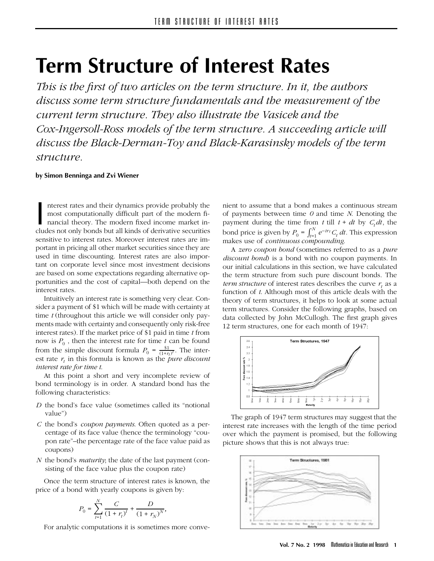# **Term Structure of Interest Rates**

*This is the first of two articles on the term structure. In it, the authors discuss some term structure fundamentals and the measurement of the current term structure. They also illustrate the Vasicek and the Cox-Ingersoll-Ross models of the term structure. A succeeding article will discuss the Black-Derman-Toy and Black-Karasinsky models of the term structure.*

## **by Simon Benninga and Zvi Wiener**

I nterest rates and their dynamics provide probably the most computationally difficult part of the modern financial theory. The modern fixed income market includes not only bonds but all kinds of derivative securities nterest rates and their dynamics provide probably the most computationally difficult part of the modern financial theory. The modern fixed income market insensitive to interest rates. Moreover interest rates are important in pricing all other market securities since they are used in time discounting. Interest rates are also important on corporate level since most investment decisions are based on some expectations regarding alternative opportunities and the cost of capital—both depend on the interest rates.

Intuitively an interest rate is something very clear. Consider a payment of \$1 which will be made with certainty at time *t* (throughout this article we will consider only payments made with certainty and consequently only risk-free interest rates). If the market price of \$1 paid in time *t* from now is  $P_0$ , then the interest rate for time  $t$  can be found from the simple discount formula  $P_0 = \frac{\$1}{(1+r_t)^t}$ . The interest rate  $r<sub>t</sub>$  in this formula is known as the *pure discount interest rate for time t*.

At this point a short and very incomplete review of bond terminology is in order. A standard bond has the following characteristics:

- *D* the bond's face value (sometimes called its "notional value")
- *C* the bond's *coupon payments*. Often quoted as a percentage of its face value (hence the terminology "coupon rate"–the percentage rate of the face value paid as coupons)
- *N* the bond's *maturity*; the date of the last payment (consisting of the face value plus the coupon rate)

Once the term structure of interest rates is known, the price of a bond with yearly coupons is given by:

$$
P_0 = \sum_{t=1}^N \frac{C}{(1+r_t)^t} + \frac{D}{(1+r_N)^N},
$$

For analytic computations it is sometimes more conve-

nient to assume that a bond makes a continuous stream of payments between time *0* and time *N*. Denoting the payment during the time from  $t$  till  $t + dt$  by  $C_t dt$ , the bond price is given by  $P_0 = \int_{t=1}^{N} e^{-tr} C_t dt$ . This expression makes use of *continuous compounding*.

A *zero coupon bond* (sometimes referred to as a *pure discount bond*) is a bond with no coupon payments. In our initial calculations in this section, we have calculated the term structure from such pure discount bonds. The *term structure* of interest rates describes the curve  $r_t$  as a function of *t*. Although most of this article deals with the theory of term structures, it helps to look at some actual term structures. Consider the following graphs, based on data collected by John McCullogh. The first graph gives 12 term structures, one for each month of 1947:



The graph of 1947 term structures may suggest that the interest rate increases with the length of the time period over which the payment is promised, but the following picture shows that this is not always true:

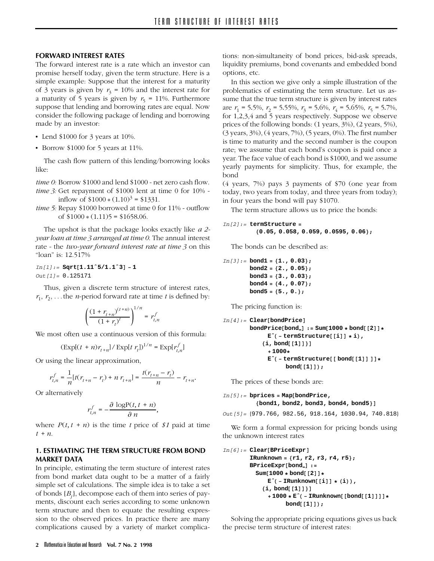## **FORWARD INTEREST RATES**

The forward interest rate is a rate which an investor can promise herself today, given the term structure. Here is a simple example: Suppose that the interest for a maturity of 3 years is given by  $r_3 = 10\%$  and the interest rate for a maturity of 5 years is given by  $r<sub>5</sub> = 11%$ . Furthermore suppose that lending and borrowing rates are equal. Now consider the following package of lending and borrowing made by an investor:

- Lend  $$1000$  for 3 years at 10%.
- Borrow \$1000 for 5 years at 11%.

The cash flow pattern of this lending/borrowing looks like:

*time 0:* Borrow \$1000 and lend \$1000 - net zero cash flow. *time 3:* Get repayment of \$1000 lent at time 0 for 10% inflow of  $$1000 * (1.10)<sup>3</sup> = $1331$ .

*time 5:* Repay \$1000 borrowed at time 0 for 11% - outflow of \$1000 \* (1*.*11)5 = \$1658*.*06.

The upshot is that the package looks exactly like *a 2 year loan at time 3 arranged at time 0*. The annual interest rate - the *two-year forward interest rate at time 3* on this "loan" is: 12.517%

*In[1]:=* **Sqrt[1.11ˆ5/1.1ˆ3] − 1** *Out[1]=* 0.125171

Thus, given a discrete term structure of interest rates,  $r_1, r_2, \ldots$  the *n*-period forward rate at time *t* is defined by:

$$
\left(\frac{(1+r_{t+n})^{(t+n)}}{(1+r_t)^t}\right)^{1/n}=r_{t,n}^f
$$

We most often use a continuous version of this formula:

$$
(\text{Exp}[(t+n)r_{t+n}]/\text{Exp}[t\;r_t])^{1/n} = \text{Exp}[r_{t,n}^f]
$$

Or using the linear approximation,

$$
r_{t,n}^f = \frac{1}{n} [t(r_{t+n} - r_t) + n r_{t+n}] = \frac{t(r_{t+n} - r_t)}{n} - r_{t+n}.
$$

Or alternatively

$$
r_{t,n}^f=-\frac{\partial\,\log\!\mathrm{P}(t,\,t+n)}{\partial\,n},
$$

where  $P(t, t + n)$  is the time *t* price of \$1 paid at time *t* + *n*.

# **1. ESTIMATING THE TERM STRUCTURE FROM BOND MARKET DATA**

In principle, estimating the term stucture of interest rates from bond market data ought to be a matter of a fairly simple set of calculations. The simple idea is to take a set of bonds {*Bj* }, decompose each of them into series of payments, discount each series according to some unknown term structure and then to equate the resulting expression to the observed prices. In practice there are many complications caused by a variety of market complica-

tions: non-simultaneity of bond prices, bid-ask spreads, liquidity premiums, bond covenants and embedded bond options, etc.

In this section we give only a simple illustration of the problematics of estimating the term structure. Let us assume that the true term structure is given by interest rates are  $r_1 = 5.5\%, r_2 = 5.55\%, r_3 = 5.6\%, r_4 = 5.65\%, r_5 = 5.7\%,$ for 1,2,3,4 and 5 years respectively. Suppose we observe prices of the following bonds: (1 years, 3%), (2 years, 5%), (3 years, 3%), (4 years, 7%), (5 years, 0%). The first number is time to maturity and the second number is the coupon rate; we assume that each bond's coupon is paid once a year. The face value of each bond is \$1000, and we assume yearly payments for simplicity. Thus, for example, the bond

(4 years, 7%) pays 3 payments of \$70 (one year from today, two years from today, and three years from today); in four years the bond will pay \$1070.

The term structure allows us to price the bonds:

$$
In[2]:= \text{ternStructure} = \{0.05, 0.058, 0.059, 0.0595, 0.06\};
$$

The bonds can be described as:

$$
In[3]:= bond1 = \{1., 0.03\};
$$
  
bond2 = \{2., 0.05\};  
bond3 = \{3., 0.03\};  
bond4 = \{4., 0.07\};  
bond5 = \{5., 0.\};

The pricing function is:

```
In[4]:= Clear[bondPrice]
        bondPrice[bond ] := Sum[1000 ∗ bond[[2]]∗
             Eˆ( − termStructure[[i]] ∗ i),
            {i, bond[[1]]}]
             + 1000∗
             Eˆ( − termStructure[[ bond[[1]] ]]∗
                   bond[[1]]);
```
The prices of these bonds are:

## *In[5]:=* **bprices = Map[bondPrice, {bond1, bond2, bond3, bond4, bond5}]**

*Out[5]=* {979.766, 982.56, 918.164, 1030.94, 740.818}

We form a formal expression for pricing bonds using the unknown interest rates

```
In[6]:= Clear[BPriceExpr]
        IRunknown = {r1, r2, r3, r4, r5};
        BPriceExpr[bond ] :=
         Sum[1000 ∗ bond[[2]]∗
             Eˆ( − IRunknown[[i]] ∗ (i)),
            {i, bond[[1]]}]
             + 1000 ∗ Eˆ( − IRunknown[[bond[[1]]]]∗
                   bond[[1]]);
```
Solving the appropriate pricing equations gives us back the precise term structure of interest rates: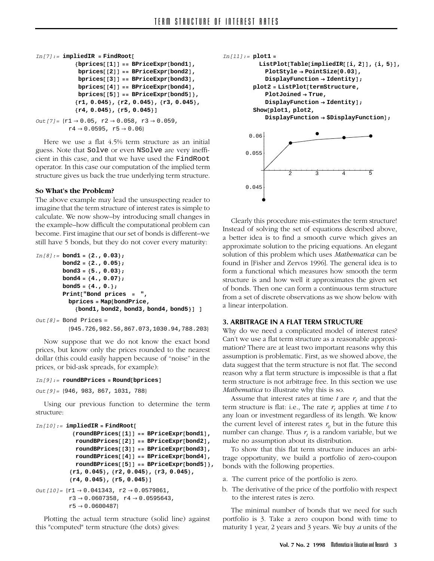```
In[7]:= impliedIR = FindRoot[
             {bprices[[1]] == BPriceExpr[bond1],
              bprices[[2]] == BPriceExpr[bond2],
              bprices[[3]] == BPriceExpr[bond3],
              bprices[[4]] == BPriceExpr[bond4],
              bprices[[5]] == BPriceExpr[bond5]},
             {r1, 0.045}, {r2, 0.045}, {r3, 0.045},
             {r4, 0.045}, {r5, 0.045}]
Out[7] = \{r1 \rightarrow 0.05, r2 \rightarrow 0.058, r3 \rightarrow 0.059,r4 \rightarrow 0.0595, r5 \rightarrow 0.06}
```
Here we use a flat 4.5% term structure as an initial guess. Note that Solve or even NSolve are very inefficient in this case, and that we have used the FindRoot operator. In this case our computation of the implied term structure gives us back the true underlying term structure.

### **So What's the Problem?**

The above example may lead the unsuspecting reader to imagine that the term structure of interest rates is simple to calculate. We now show–by introducing small changes in the example–how difficult the computational problem can become. First imagine that our set of bonds is different–we still have 5 bonds, but they do not cover every maturity:

```
In[8]:= bond1 = {2., 0.03};
       bond2 = {2., 0.05};
       bond3 = {5., 0.03};
        bond4 = {4., 0.07};
        bond5 = {4., 0.};
        Print["Bond prices = ",
         bprices = Map[bondPrice,
            {bond1, bond2, bond3, bond4, bond5}] ]
Out[8]= Bond Prices =
         {945.726,982.56,867.073,1030.94,788.203}
```
Now suppose that we do not know the exact bond prices, but know only the prices rounded to the nearest dollar (this could easily happen because of "noise" in the prices, or bid-ask spreads, for example):

#### *In[9]:=* **roundBPrices = Round[bprices]**

*Out[9]=* {946, 983, 867, 1031, 788}

Using our previous function to determine the term structure:

```
In[10]:= impliedIR = FindRoot[
            {roundBPrices[[1]] == BPriceExpr[bond1],
             roundBPrices[[2]] == BPriceExpr[bond2],
             roundBPrices[[3]] == BPriceExpr[bond3],
             roundBPrices[[4]] == BPriceExpr[bond4],
             roundBPrices[[5]] == BPriceExpr[bond5]},
           {r1, 0.045}, {r2, 0.045}, {r3, 0.045},
           {r4, 0.045}, {r5, 0.045}]
Out[10] = \{r1 \rightarrow 0.041343, r2 \rightarrow 0.0579861,r3 \to 0.0607358, r4 \to 0.0595643,
           \mathtt{r5} \rightarrow \mathtt{0.0600487}
```
Plotting the actual term structure (solid line) against this "computed" term structure (the dots) gives:

```
In[11]:= plot1 =
          ListPlot[Table[impliedIR[[i, 2]], {i, 5}],
           PlotStyle → PointSize[0.03],
           DisplayFunction → Identity];
        plot2 = ListPlot[termStructure,
           PlotJoined → True,
           DisplayFunction → Identity];
        Show[plot1, plot2,
           DisplayFunction → $DisplayFunction];
                  2 3 4 5
      0.045
      0.055
       0.06
```
Clearly this procedure mis-estimates the term structure! Instead of solving the set of equations described above, a better idea is to find a smooth curve which gives an approximate solution to the pricing equations. An elegant solution of this problem which uses *Mathematica* can be found in [Fisher and Zervos 1996]. The general idea is to form a functional which measures how smooth the term structure is and how well it approximates the given set of bonds. Then one can form a continuous term structure from a set of discrete observations as we show below with a linear interpolation.

### **3. ARBITRAGE IN A FLAT TERM STRUCTURE**

Why do we need a complicated model of interest rates? Can't we use a flat term structure as a reasonable approximation? There are at least two important reasons why this assumption is problematic. First, as we showed above, the data suggest that the term structure is not flat. The second reason why a flat term structure is impossible is that a flat term structure is not arbitrage free. In this section we use *Mathematica* to illustrate why this is so.

Assume that interest rates at time  $t$  are  $r<sub>t</sub>$  and that the term structure is flat: i.e., The rate  $r_t$  applies at time  $t$  to any loan or investment regardless of its length. We know the current level of interest rates  $r_0$  but in the future this number can change. Thus  $r_t$  is a random variable, but we make no assumption about its distribution.

To show that this flat term structure induces an arbitrage opportunity, we build a portfolio of zero-coupon bonds with the following properties.

- a. The current price of the portfolio is zero.
- b. The derivative of the price of the portfolio with respect to the interest rates is zero.

The minimal number of bonds that we need for such portfolio is 3. Take a zero coupon bond with time to maturity 1 year, 2 years and 3 years. We buy *a* units of the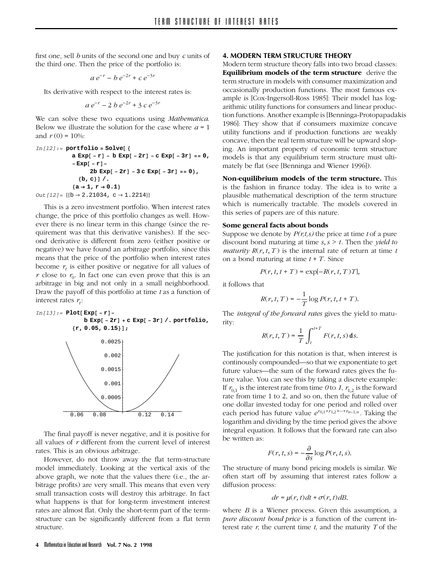first one, sell *b* units of the second one and buy *c* units of the third one. Then the price of the portfolio is:

$$
a e^{-r} - b e^{-2r} + c e^{-3r}
$$

Its derivative with respect to the interest rates is:

$$
a e^{-r} - 2 b e^{-2r} + 3 c e^{-3r}
$$

We can solve these two equations using *Mathematica*. Below we illustrate the solution for the case where  $a = 1$ and  $r(0) = 10\%$ :

$$
In[12]:= portfolio = Solve[\{\n a Exp[-r] - b Exp[-2r] - c Exp[-3r] == 0,\n - Exp[-r] -\n 2b Exp[-2r] - 3 c Exp[-3r] == 0\},\n \{b, c\}]/\n \{a \rightarrow 1, r \rightarrow 0.1\}
$$
\n
$$
Out[12] = \{b \rightarrow 2.21034, c \rightarrow 1.2214\}
$$

This is a zero investment portfolio. When interest rates change, the price of this portfolio changes as well. However there is no linear term in this change (since the requirement was that this derivative vanishes). If the second derivative is different from zero (either positive or negative) we have found an arbitrage portfolio, since this means that the price of the portfolio when interest rates become  $r<sub>t</sub>$  is either positive or negative for all values of *r* close to  $r_0$ . In fact one can even prove that this is an arbitrage in big and not only in a small neighborhood. Draw the payoff of this portfolio at time *t* as a function of interest rates  $r_t$ :

$$
In[13]:= Plot[Exp[-r] -
$$
  
\n
$$
b Exp[-2r] + c Exp[-3r] / . portfolio,
$$
  
\n
$$
\{r, 0.05, 0.15\}];
$$



The final payoff is never negative, and it is positive for all values of *r* different from the current level of interest rates. This is an obvious arbitrage.

However, do not throw away the flat term-structure model immediately. Looking at the vertical axis of the above graph, we note that the values there (i.e., the arbitrage profits) are very small. This means that even very small transaction costs will destroy this arbitrage. In fact what happens is that for long-term investment interest rates are almost flat. Only the short-term part of the termstructure can be significantly different from a flat term structure.

## **4. MODERN TERM STRUCTURE THEORY**

Modern term structure theory falls into two broad classes: **Equilibrium models of the term structure** derive the term structure in models with consumer maximization and occasionally production functions. The most famous example is [Cox-Ingersoll-Ross 1985]: Their model has logarithmic utility functions for consumers and linear production functions. Another example is [Benninga-Protopapadakis 1986]: They show that if consumers maximize concave utility functions and if production functions are weakly concave, then the real term structure will be upward sloping. An important property of economic term structure models is that any equilibrium term structure must ultimately be flat (see [Benninga and Wiener 1996]).

**Non-equilibrium models of the term structure.** This is the fashion in finance today. The idea is to write a plausible mathematical description of the term structure which is numerically tractable. The models covered in this series of papers are of this nature.

## **Some general facts about bonds**

Suppose we denote by *P(r,t,s)* the price at time *t* of a pure discount bond maturing at time *s,s > t*. Then the *yield to maturity*  $R(r, t, T)$  is the internal rate of return at time t on a bond maturing at time  $t + T$ . Since

$$
P(r, t, t + T) = \exp[-R(r, t, T)T],
$$

it follows that

$$
R(r, t, T) = -\frac{1}{T}\log P(r, t, t + T).
$$

The *integral of the forward rates* gives the yield to maturity:

$$
R(r, t, T) = \frac{1}{T} \int_{t}^{t+T} F(r, t, s) \, \mathrm{d}s.
$$

The justification for this notation is that, when interest is continously compounded—so that we exponentiate to get future values—the sum of the forward rates gives the future value. You can see this by taking a discrete example: If  $r_{0,1}$  is the interest rate from time *0* to *1*,  $r_{1,2}$  is the forward rate from time 1 to 2, and so on, then the future value of one dollar invested today for one period and rolled over each period has future value  $e^{r_{0,1}+r_{1,2}+\cdots+r_{n-1,n}}$ . Taking the logarithm and dividing by the time period gives the above integral equation. It follows that the forward rate can also be written as:

$$
F(r, t, s) = -\frac{\partial}{\partial s} \log P(r, t, s).
$$

The structure of many bond pricing models is similar. We often start off by assuming that interest rates follow a diffusion process:

$$
dr = \mu(r, t)dt + \sigma(r, t)dB.
$$

where *B* is a Wiener process. Given this assumption, a *pure discount bond price* is a function of the current interest rate *r*, the current time *t*, and the maturity *T* of the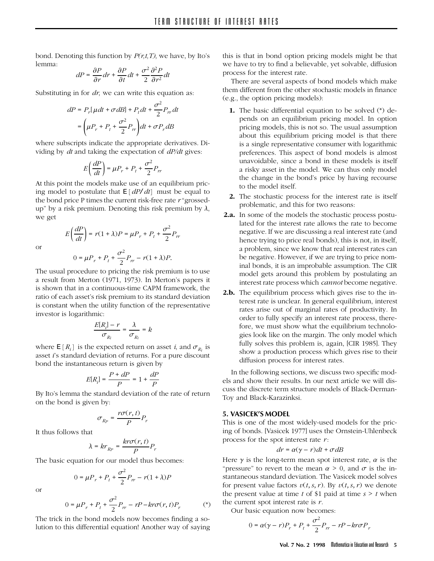bond. Denoting this function by *P(r,t,T)*, we have, by Ito's lemma:

$$
dP = \frac{\partial P}{\partial r}dr + \frac{\partial P}{\partial t}dt + \frac{\sigma^2}{2}\frac{\partial^2 P}{\partial r^2}dt
$$

Substituting in for *dr*, we can write this equation as:

$$
dP = P_r[\mu dt + \sigma dB] + P_t dt + \frac{\sigma^2}{2} P_{rr} dt
$$

$$
= \left(\mu P_r + P_t + \frac{\sigma^2}{2} P_{rr}\right) dt + \sigma P_r dB
$$

where subscripts indicate the appropriate derivatives. Dividing by *dt* and taking the expectation of *dP/dt* gives:

$$
E\left(\frac{dP}{dt}\right) = \mu P_r + P_t + \frac{\sigma^2}{2} P_r
$$

At this point the models make use of an equilibrium pricing model to postulate that  $E[dP/dt]$  must be equal to the bond price P times the current risk-free rate *r* "grossedup" by a risk premium. Denoting this risk premium by  $\lambda$ , we get

or

$$
E\left(\frac{dP}{dt}\right) = r(1+\lambda)P = \mu P_r + P_t + \frac{\sigma^2}{2}P_n
$$

$$
0 = \mu P_r + P_t + \frac{\sigma^2}{2}P_{rr} - r(1+\lambda)P.
$$

The usual procedure to pricing the risk premium is to use a result from Merton (1971, 1973). In Merton's papers it is shown that in a continuous-time CAPM framework, the ratio of each asset's risk premium to its standard deviation is constant when the utility function of the representative investor is logarithmic:

$$
\frac{E[R_i] - r}{\sigma_{R_i}} = \frac{\lambda}{\sigma_{R_i}} = k
$$

where  $\mathbb{E}[R_i]$  is the expected return on asset *i*, and  $\sigma_{R_i}$  is asset *i*'s standard deviation of returns. For a pure discount bond the instantaneous return is given by

$$
E[R_i] = \frac{P + dP}{P} = 1 + \frac{dP}{P}
$$

By Ito's lemma the standard deviation of the rate of return on the bond is given by:

$$
\sigma_{Rp} = \frac{r\sigma(r,t)}{P}P_r
$$

It thus follows that

$$
\lambda = kr_{Rp} = \frac{kr\sigma(r, t)}{P}P_r
$$

The basic equation for our model thus becomes:

$$
0 = \mu P_r + P_t + \frac{\sigma^2}{2} P_{rr} - r(1+\lambda)P
$$

or

$$
0 = \mu P_r + P_t + \frac{\sigma^2}{2} P_{rr} - rP - kr\sigma(r, t)P_r
$$
 (\*)

The trick in the bond models now becomes finding a solution to this differential equation! Another way of saying this is that in bond option pricing models might be that we have to try to find a believable, yet solvable, diffusion process for the interest rate.

There are several aspects of bond models which make them different from the other stochastic models in finance (e.g., the option pricing models):

- **1.** The basic differential equation to be solved (\*) depends on an equilibrium pricing model. In option pricing models, this is not so. The usual assumption about this equilibrium pricing model is that there is a single representative consumer with logarithmic preferences. This aspect of bond models is almost unavoidable, since a bond in these models is itself a risky asset in the model. We can thus only model the change in the bond's price by having recourse to the model itself.
- **2.** The stochastic process for the interest rate is itself problematic, and this for two reasons:
- **2.a.** In some of the models the stochastic process postulated for the interest rate allows the rate to become negative. If we are discussing a real interest rate (and hence trying to price real bonds), this is not, in itself, a problem, since we know that real interest rates can be negative. However, if we are trying to price nominal bonds, it is an improbable assumption. The CIR model gets around this problem by postulating an interest rate process which *cannot* become negative.
- **2.b.** The equilibrium process which gives rise to the interest rate is unclear. In general equilibrium, interest rates arise out of marginal rates of productivity. In order to fully specify an interest rate process, therefore, we must show what the equilibrium technologies look like on the margin. The only model which fully solves this problem is, again, [CIR 1985]. They show a production process which gives rise to their diffusion process for interest rates.

In the following sections, we discuss two specific models and show their results. In our next article we will discuss the discrete term structure models of Black-Derman-Toy and Black-Karazinksi.

## **5. VASICEK'S MODEL**

This is one of the most widely-used models for the pricing of bonds. [Vasicek 1977] uses the Ornstein-Uhlenbeck process for the spot interest rate *r*:

$$
dr = \alpha(\gamma - r)dt + \sigma dB
$$

Here  $\gamma$  is the long-term mean spot interest rate,  $\alpha$  is the "pressure" to revert to the mean  $\alpha > 0$ , and  $\sigma$  is the instantaneous standard deviation. The Vasicek model solves for present value factors  $v(t, s, r)$ . By  $v(t, s, r)$  we denote the present value at time  $t$  of \$1 paid at time  $s > t$  when the current spot interest rate is *r*.

Our basic equation now becomes:

$$
0 = \alpha(\gamma - r)P_r + P_t + \frac{\sigma^2}{2}P_{rr} - rP - kr\sigma P_r
$$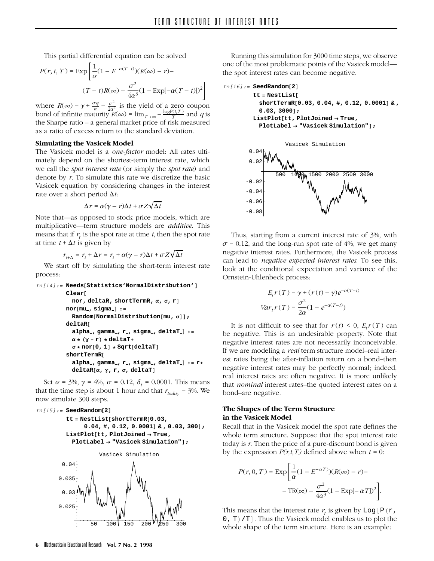This partial differential equation can be solved

$$
P(r, t, T) = \exp\left[\frac{1}{\alpha}(1 - E^{-\alpha(T-t)})(R(\infty) - r) -
$$

$$
(T - t)R(\infty) - \frac{\sigma^2}{4\alpha^3}(1 - \text{Exp}[-\alpha(T - t)])^2\right]
$$

where  $R(\infty) = \gamma + \frac{\sigma q}{\alpha} - \frac{\sigma^2}{2\alpha^2}$  is the yield of a zero coupon bond of infinite maturity  $R(\infty) = \lim_{T \to \infty} -\frac{\log P(t,T)}{T}$  and *q* is the Sharpe ratio – a general market price of risk measured as a ratio of excess return to the standard deviation.

### **Simulating the Vasicek Model**

The Vasicek model is a *one-factor* model: All rates ultimately depend on the shortest-term interest rate, which we call the *spot interest rate* (or simply the *spot rate*) and denote by *r*. To simulate this rate we discretize the basic Vasicek equation by considering changes in the interest rate over a short period  $\Delta t$ :

$$
\Delta r = \alpha(\gamma - r)\Delta t + \sigma Z \sqrt{\Delta t}
$$

Note that—as opposed to stock price models, which are multiplicative—term structure models are *additive*. This means that if  $r<sub>i</sub>$  is the spot rate at time  $t<sub>i</sub>$ , then the spot rate at time  $t + \Delta t$  is given by

$$
r_{t+\Delta} = r_t + \Delta r = r_t + \alpha(\gamma - r)\Delta t + \sigma Z \sqrt{\Delta t}
$$

We start off by simulating the short-term interest rate process:

```
In[14]:= Needs[Statistics'NormalDistribution']
         Clear[
          nor, deltaR, shortTermR, α, σ, r]
         nor[mu , sigma ] :=
           Random[NormalDistribution[mu, σ]];
         deltaR[
           alpha , gamma , r , sigma , deltaT ] :=
           α ∗ (γ − r) ∗ deltaT+
           σ ∗ nor[0, 1] ∗ Sqrt[deltaT]
         shortTermR[
           alpha , gamma , r , sigma , deltaT ] := r+
           deltaR[α, γ, r, σ, deltaT]
```
Set  $\alpha$  = 3%,  $\gamma$  = 4%,  $\sigma$  = 0.12,  $\delta_t$  = 0.0001. This means that the time step is about 1 hour and that  $r_{today} = 3\%$ . We now simulate 300 steps.

```
In[15]:= SeedRandom[2]
         tt = NestList[shortTermR[0.03,
               0.04, #, 0.12, 0.0001] & , 0.03, 300];
         ListPlot[tt, PlotJoined → True,
           PlotLabel → "Vasicek Simulation"];
       0.025
        0.03
       0.035
        0.04
                    Vasicek Simulation
```
50 100 150 200 200 250 300

Running this simulation for 3000 time steps, we observe one of the most problematic points of the Vasicekmodel the spot interest rates can become negative.

```
In[16]:= SeedRandom[2]
```

```
tt = NestList[
 shortTermR[0.03, 0.04, #, 0.12, 0.0001] & ,
  0.03, 3000];
ListPlot[tt, PlotJoined → True,
```

```
PlotLabel → "Vasicek Simulation"];
```


Thus, starting from a current interest rate of 3%, with  $\sigma$  = 0.12, and the long-run spot rate of 4%, we get many negative interest rates. Furthermore, the Vasicek process can lead to *negative expected interest rates*. To see this, look at the conditional expectation and variance of the Ornstein-Uhlenbeck process:

$$
E_t r(T) = \gamma + (r(t) - \gamma)e^{-\alpha(T-t)}
$$

$$
Var_t r(T) = \frac{\sigma^2}{2\alpha} (1 - e^{-\alpha(T-t)})
$$

It is not difficult to see that for  $r(t) < 0$ ,  $E_r r(T)$  can be negative. This is an undesirable property. Note that negative interest rates are not necessarily inconceivable. If we are modeling a *real* term structure model–real interest rates being the after-inflation return on a bond–then negative interest rates may be perfectly normal; indeed, real interest rates are often negative. It is more unlikely that *nominal* interest rates–the quoted interest rates on a bond–are negative.

# **The Shapes of the Term Structure in the Vasicek Model**

Recall that in the Vasicek model the spot rate defines the whole term structure. Suppose that the spot interest rate today is *r*. Then the price of a pure-discount bond is given by the expression  $P(r,t,T)$  defined above when  $t = 0$ :

$$
P(r, 0, T) = \exp\left[\frac{1}{\alpha}(1 - E^{-\alpha T})(R(\infty) - r) - \right]
$$

$$
-\text{TR}(\infty) - \frac{\sigma^2}{4\alpha^3}(1 - \text{Exp}[-\alpha T])^2\right].
$$

This means that the interest rate  $r_t$  is given by  $Log[P(r,$ 0, T)/T]. Thus the Vasicek model enables us to plot the whole shape of the term structure. Here is an example: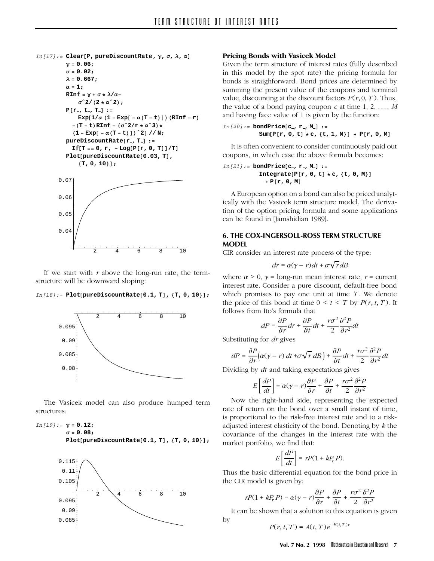```
In[17]:= Clear[P, pureDiscountRate, γ, σ, λ, α]
          γ = 0.06;
          σ = 0.02;
         λ = 0.667;
         \alpha = 1;
         RInf =γ+σ∗λ/α−
             σˆ2/(2 ∗ αˆ2);
         P[r , t , T ] :=
             Exp(1/\alpha (1 - \text{Exp}[-\alpha (T - t)])(\text{RInf} - r))−(T − t)RInf − (σˆ2/r ∗ αˆ3)∗
            (1 − Exp[ − α(T − t)])ˆ2] // N;
         pureDiscountRate[r , T ] :=
           If[T == 0, r, − Log[P[r, 0, T]]/T]
         Plot[pureDiscountRate[0.03, T],
              {T, 0, 10}];
                   2 4 6 8 10
       0.04
       0.05
       0.06
       0.07
```
If we start with *r* above the long-run rate, the termstructure will be downward sloping:

### *In[18]:=* **Plot[pureDiscountRate[0.1, T], {T, 0, 10}];**



The Vasicek model can also produce humped term structures:

# *In[19]:=* **γ = 0.12; σ = 0.08;**

**Plot[pureDiscountRate[0.1, T], {T, 0, 10}];**



### **Pricing Bonds with Vasicek Model**

Given the term structure of interest rates (fully described in this model by the spot rate) the pricing formula for bonds is straighforward. Bond prices are determined by summing the present value of the coupons and terminal value, discounting at the discount factors  $P(r, 0, T)$ . Thus, the value of a bond paying coupon  $c$  at time 1, 2, ...,  $M$ and having face value of 1 is given by the function:

$$
In [20]:= \text{bondPrice}[c_-, r_-, M_]:=\n \text{Sum}[P[r, 0, t] * c, \{t, 1, M\}] + P[r, 0, M]
$$

It is often convenient to consider continuously paid out coupons, in which case the above formula becomes:

$$
In [21]:= \text{bondPrice}[c_-, r_-, M_]:=\newline \text{Integrate}[P[r, 0, t] * c, \{t, 0, M\}] + P[r, 0, M]
$$

A European option on a bond can also be priced analytically with the Vasicek term structure model. The derivation of the option pricing formula and some applications can be found in [Jamshidian 1989].

# **6. THE COX-INGERSOLL-ROSS TERM STRUCTURE MODEL**

CIR consider an interest rate process of the type:

$$
dr = \alpha(\gamma - r)dt + \sigma\sqrt{r}dB
$$

where  $\alpha > 0$ ,  $\gamma$  = long-run mean interest rate,  $r$  = current interest rate. Consider a pure discount, default-free bond which promises to pay one unit at time  $T$ . We denote the price of this bond at time  $0 < t < T$  by  $P(r, t, T)$ . It follows from Ito's formula that

$$
dP=\frac{\partial P}{\partial r}dr+\frac{\partial P}{\partial t}dt+\frac{r\sigma^2}{2}\frac{\partial^2 P}{\partial r^2}dt
$$

Substituting for *dr* gives

$$
dP = \frac{\partial P}{\partial r} \Big( \alpha(\gamma - r) dt + \sigma \sqrt{r} dB \Big) + \frac{\partial P}{\partial t} dt + \frac{r \sigma^2}{2} \frac{\partial^2 P}{\partial r^2} dt
$$

Dividing by *dt* and taking expectations gives

$$
E\left[\frac{dP}{dt}\right] = \alpha(\gamma - r)\frac{\partial P}{\partial r} + \frac{\partial P}{\partial t} + \frac{r\sigma^2}{2}\frac{\partial^2 P}{\partial r^2}
$$

Now the right-hand side, representing the expected rate of return on the bond over a small instant of time, is proportional to the risk-free interest rate and to a riskadjusted interest elasticity of the bond. Denoting by *k* the covariance of the changes in the interest rate with the market portfolio, we find that:

$$
E\left[\frac{dP}{dt}\right] = rP(1 + kP_r P).
$$

Thus the basic differential equation for the bond price in the CIR model is given by:

$$
rP(1+kP_rP)=\alpha(\gamma-r)\frac{\partial P}{\partial r}+\frac{\partial P}{\partial t}+\frac{r\sigma^2}{2}\frac{\partial^2 P}{\partial r^2}
$$

It can be shown that a solution to this equation is given by

$$
P(r, t, T) = A(t, T)e^{-B(t, T)r}
$$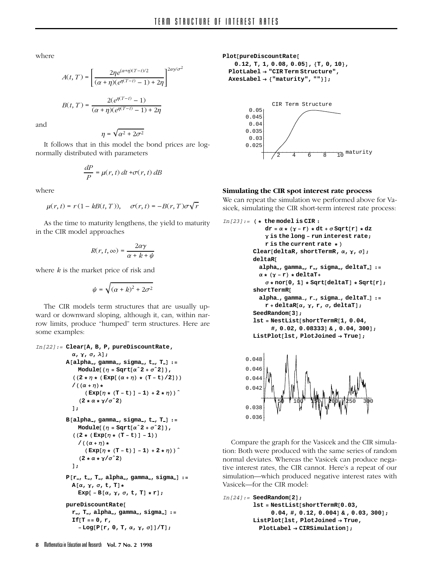where

$$
A(t, T) = \left[\frac{2\eta e^{(\alpha+\eta)(T-t)/2}}{(\alpha+\eta)(e^{\eta(T-t)}-1)+2\eta}\right]^{2\alpha\gamma/\sigma^2}
$$

*B*(*t*, *T*) =  $\frac{2(e^{\eta(T-t)} - 1)}{(\alpha + \eta)(e^{\eta(T-t)} - 1) + 2\eta}$ 

and

$$
\eta=\sqrt{\alpha^2+2\sigma^2}
$$

It follows that in this model the bond prices are lognormally distributed with parameters

$$
\frac{dP}{P} = \mu(r, t) dt + \sigma(r, t) dB
$$

where

$$
\mu(r, t) = r(1 - kB(t, T)), \quad \sigma(r, t) = -B(r, T)\sigma\sqrt{r}
$$

As the time to maturity lengthens, the yield to maturity in the CIR model approaches

$$
R(r, t, \infty) = \frac{2\alpha\gamma}{\alpha + k + \psi}
$$

where *k* is the market price of risk and

$$
\psi=\sqrt{(\alpha+k)^2+2\sigma^2}
$$

The CIR models term structures that are usually upward or downward sloping, although it, can, within narrow limits, produce "humped" term structures. Here are some examples:

```
In[22]:= Clear[A, B, P, pureDiscountRate,
```

```
α, γ, σ, λ];
A[alpha , gamma , sigma , t , T ] :=
    Module[ {\eta = Sqrt[\alpha^2 + \sigma^2] },
  ((2 ∗η∗( Exp[(α + η) ∗ (T − t)/2]))
  /((α + η)∗
       (\text{Exp}[\eta * (\text{T} - \text{t})] - 1) + 2 * \eta)(2 ∗α∗γ/σˆ2)
  ];
B[alpha , gamma , sigma , t , T ] :=
    Module[{η = Sqrt[α^2 + σ^2]},
  ((2 ∗ ( Exp[η ∗ (T − t)] − 1))
    /((α + η)∗
       ( Exp[η ∗ (T − t)] − 1) + 2 ∗ η))ˆ
    (2 ∗α∗γ/σˆ2)
  ];
P[r , t , T , alpha , gamma , sigma ] :=
  A[α, γ, σ, t, T]∗
    Exp[ − B[α, γ, σ, t, T] ∗ r];
pureDiscountRate[
  r , T , alpha , gamma , sigma ] :=
  If[T == 0, r,
    − Log[P[r, 0, T, α, γ, σ]]/T];
```
**Plot[pureDiscountRate[ 0.12, T, 1, 0.08, 0.05], {T, 0, 10}, PlotLabel → "CIR Term Structure", AxesLabel → {"maturity", ""}];**



# **Simulating the CIR spot interest rate process**

We can repeat the simulation we performed above for Vasicek, simulating the CIR short-term interest rate process:

```
In[23]:= ( ∗ the model is CIR :
             dr = α ∗ (γ − r) ∗ dt + σ Sqrt[r] ∗ dz
             γ is the long − run interest rate;
             r is the current rate ∗ )
         Clear[deltaR, shortTermR, α, γ, σ];
         deltaR[
           alpha , gamma , r , sigma , deltaT ] :=
           α ∗ (γ − r) ∗ deltaT+
             σ ∗ nor[0, 1] ∗ Sqrt[deltaT] ∗ Sqrt[r];
         shortTermR[
           alpha , gamma , r , sigma , deltaT ] :=
             r + deltaR[α, γ, r, σ, deltaT];
         SeedRandom[3];
         lst = NestList[shortTermR[1, 0.04,
               #, 0.02, 0.08333] & , 0.04, 300];
         ListPlot[lst, PlotJoined → True];
```


Compare the graph for the Vasicek and the CIR simulation: Both were produced with the same series of random normal deviates. Whereas the Vasicek can produce negative interest rates, the CIR cannot. Here's a repeat of our simulation—which produced negative interest rates with Vasicek—for the CIR model:

```
In[24]:= SeedRandom[2];
         lst = NestList[shortTermR[0.03,
              0.04, #, 0.12, 0.004] & , 0.03, 300];
         ListPlot[lst, PlotJoined → True,
          PlotLabel → CIRSimulation];
```